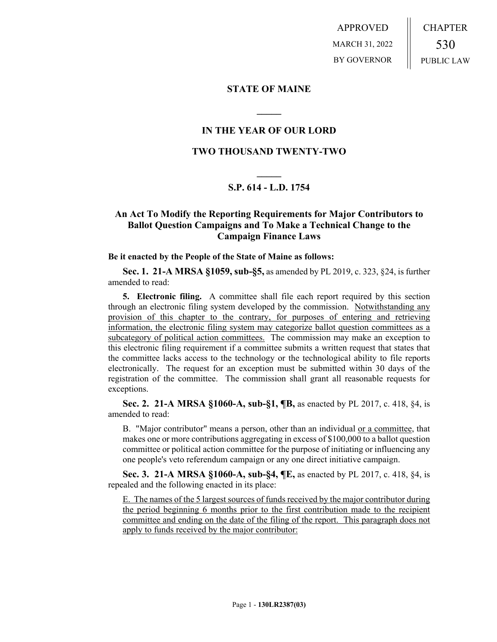APPROVED MARCH 31, 2022 BY GOVERNOR CHAPTER 530 PUBLIC LAW

### **STATE OF MAINE**

## **IN THE YEAR OF OUR LORD**

**\_\_\_\_\_**

### **TWO THOUSAND TWENTY-TWO**

# **\_\_\_\_\_ S.P. 614 - L.D. 1754**

# **An Act To Modify the Reporting Requirements for Major Contributors to Ballot Question Campaigns and To Make a Technical Change to the Campaign Finance Laws**

#### **Be it enacted by the People of the State of Maine as follows:**

**Sec. 1. 21-A MRSA §1059, sub-§5,** as amended by PL 2019, c. 323, §24, is further amended to read:

**5. Electronic filing.** A committee shall file each report required by this section through an electronic filing system developed by the commission. Notwithstanding any provision of this chapter to the contrary, for purposes of entering and retrieving information, the electronic filing system may categorize ballot question committees as a subcategory of political action committees. The commission may make an exception to this electronic filing requirement if a committee submits a written request that states that the committee lacks access to the technology or the technological ability to file reports electronically. The request for an exception must be submitted within 30 days of the registration of the committee. The commission shall grant all reasonable requests for exceptions.

**Sec. 2. 21-A MRSA §1060-A, sub-§1, ¶B,** as enacted by PL 2017, c. 418, §4, is amended to read:

B. "Major contributor" means a person, other than an individual or a committee, that makes one or more contributions aggregating in excess of \$100,000 to a ballot question committee or political action committee for the purpose of initiating or influencing any one people's veto referendum campaign or any one direct initiative campaign.

**Sec. 3. 21-A MRSA §1060-A, sub-§4, ¶E,** as enacted by PL 2017, c. 418, §4, is repealed and the following enacted in its place:

E. The names of the 5 largest sources of funds received by the major contributor during the period beginning 6 months prior to the first contribution made to the recipient committee and ending on the date of the filing of the report. This paragraph does not apply to funds received by the major contributor: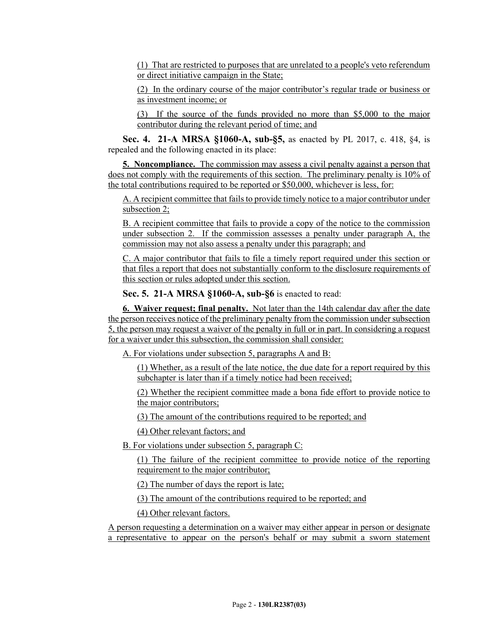(1) That are restricted to purposes that are unrelated to a people's veto referendum or direct initiative campaign in the State;

(2) In the ordinary course of the major contributor's regular trade or business or as investment income; or

(3) If the source of the funds provided no more than \$5,000 to the major contributor during the relevant period of time; and

**Sec. 4. 21-A MRSA §1060-A, sub-§5,** as enacted by PL 2017, c. 418, §4, is repealed and the following enacted in its place:

**5. Noncompliance.** The commission may assess a civil penalty against a person that does not comply with the requirements of this section. The preliminary penalty is 10% of the total contributions required to be reported or \$50,000, whichever is less, for:

A. A recipient committee that fails to provide timely notice to a major contributor under subsection 2;

B. A recipient committee that fails to provide a copy of the notice to the commission under subsection 2. If the commission assesses a penalty under paragraph A, the commission may not also assess a penalty under this paragraph; and

C. A major contributor that fails to file a timely report required under this section or that files a report that does not substantially conform to the disclosure requirements of this section or rules adopted under this section.

**Sec. 5. 21-A MRSA §1060-A, sub-§6** is enacted to read:

**6. Waiver request; final penalty.** Not later than the 14th calendar day after the date the person receives notice of the preliminary penalty from the commission under subsection 5, the person may request a waiver of the penalty in full or in part. In considering a request for a waiver under this subsection, the commission shall consider:

A. For violations under subsection 5, paragraphs A and B:

(1) Whether, as a result of the late notice, the due date for a report required by this subchapter is later than if a timely notice had been received;

(2) Whether the recipient committee made a bona fide effort to provide notice to the major contributors;

(3) The amount of the contributions required to be reported; and

(4) Other relevant factors; and

B. For violations under subsection 5, paragraph C:

(1) The failure of the recipient committee to provide notice of the reporting requirement to the major contributor;

(2) The number of days the report is late;

(3) The amount of the contributions required to be reported; and

(4) Other relevant factors.

A person requesting a determination on a waiver may either appear in person or designate a representative to appear on the person's behalf or may submit a sworn statement